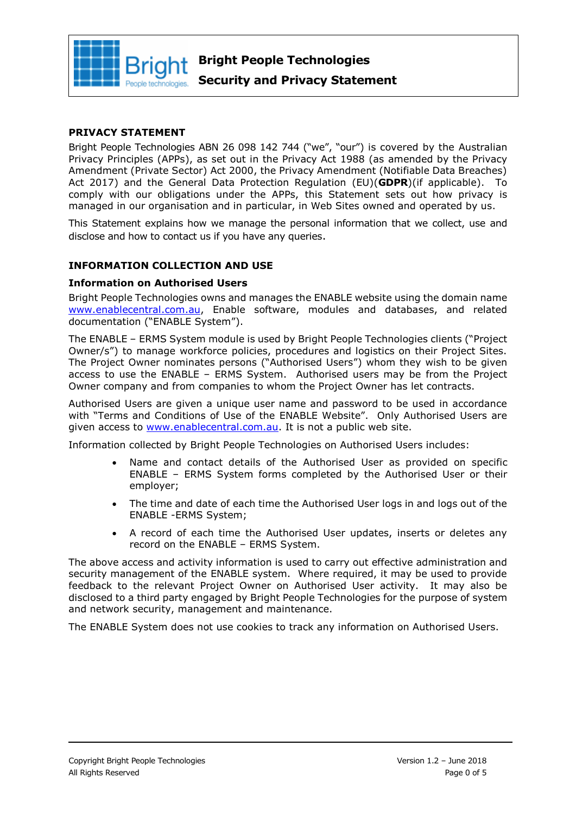

#### **PRIVACY STATEMENT**

Bright People Technologies ABN 26 098 142 744 ("we", "our") is covered by the Australian Privacy Principles (APPs), as set out in the Privacy Act 1988 (as amended by the Privacy Amendment (Private Sector) Act 2000, the Privacy Amendment (Notifiable Data Breaches) Act 2017) and the General Data Protection Regulation (EU)(**GDPR**)(if applicable). To comply with our obligations under the APPs, this Statement sets out how privacy is managed in our organisation and in particular, in Web Sites owned and operated by us.

This Statement explains how we manage the personal information that we collect, use and disclose and how to contact us if you have any queries.

#### **INFORMATION COLLECTION AND USE**

#### **Information on Authorised Users**

Bright People Technologies owns and manages the ENABLE website using the domain name [www.enablecentral.com.au,](http://www.enablecentral.com.au/) Enable software, modules and databases, and related documentation ("ENABLE System").

The ENABLE – ERMS System module is used by Bright People Technologies clients ("Project Owner/s") to manage workforce policies, procedures and logistics on their Project Sites. The Project Owner nominates persons ("Authorised Users") whom they wish to be given access to use the ENABLE – ERMS System. Authorised users may be from the Project Owner company and from companies to whom the Project Owner has let contracts.

Authorised Users are given a unique user name and password to be used in accordance with "Terms and Conditions of Use of the ENABLE Website". Only Authorised Users are given access to [www.enablecentral.com.au.](http://www.enablecentral.com.au/) It is not a public web site.

Information collected by Bright People Technologies on Authorised Users includes:

- Name and contact details of the Authorised User as provided on specific ENABLE – ERMS System forms completed by the Authorised User or their employer;
- The time and date of each time the Authorised User logs in and logs out of the ENABLE -ERMS System;
- A record of each time the Authorised User updates, inserts or deletes any record on the ENABLE – ERMS System.

The above access and activity information is used to carry out effective administration and security management of the ENABLE system. Where required, it may be used to provide feedback to the relevant Project Owner on Authorised User activity. It may also be disclosed to a third party engaged by Bright People Technologies for the purpose of system and network security, management and maintenance.

The ENABLE System does not use cookies to track any information on Authorised Users.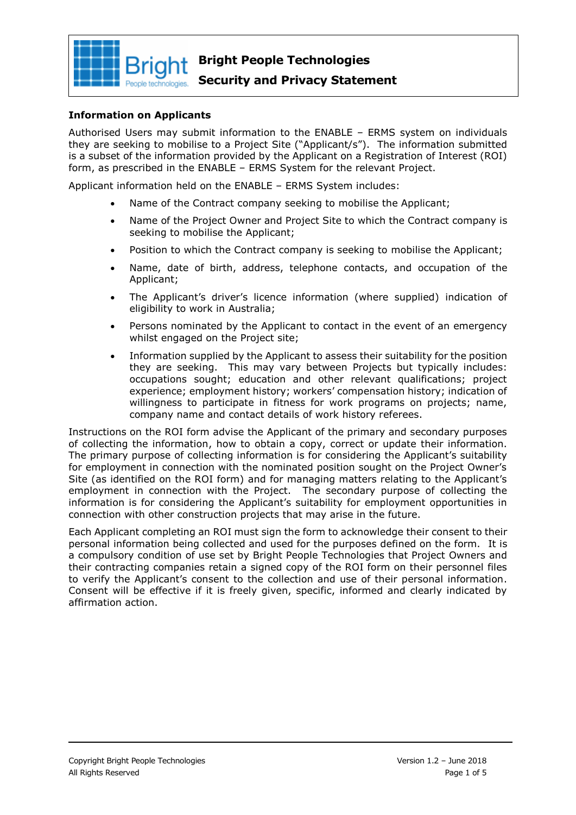

#### **Security and Privacy Statement**

#### **Information on Applicants**

Authorised Users may submit information to the ENABLE – ERMS system on individuals they are seeking to mobilise to a Project Site ("Applicant/s"). The information submitted is a subset of the information provided by the Applicant on a Registration of Interest (ROI) form, as prescribed in the ENABLE – ERMS System for the relevant Project.

Applicant information held on the ENABLE – ERMS System includes:

- Name of the Contract company seeking to mobilise the Applicant;
- Name of the Project Owner and Project Site to which the Contract company is seeking to mobilise the Applicant;
- Position to which the Contract company is seeking to mobilise the Applicant;
- Name, date of birth, address, telephone contacts, and occupation of the Applicant;
- The Applicant's driver's licence information (where supplied) indication of eligibility to work in Australia;
- Persons nominated by the Applicant to contact in the event of an emergency whilst engaged on the Project site;
- Information supplied by the Applicant to assess their suitability for the position they are seeking. This may vary between Projects but typically includes: occupations sought; education and other relevant qualifications; project experience; employment history; workers' compensation history; indication of willingness to participate in fitness for work programs on projects; name, company name and contact details of work history referees.

Instructions on the ROI form advise the Applicant of the primary and secondary purposes of collecting the information, how to obtain a copy, correct or update their information. The primary purpose of collecting information is for considering the Applicant's suitability for employment in connection with the nominated position sought on the Project Owner's Site (as identified on the ROI form) and for managing matters relating to the Applicant's employment in connection with the Project. The secondary purpose of collecting the information is for considering the Applicant's suitability for employment opportunities in connection with other construction projects that may arise in the future.

Each Applicant completing an ROI must sign the form to acknowledge their consent to their personal information being collected and used for the purposes defined on the form. It is a compulsory condition of use set by Bright People Technologies that Project Owners and their contracting companies retain a signed copy of the ROI form on their personnel files to verify the Applicant's consent to the collection and use of their personal information. Consent will be effective if it is freely given, specific, informed and clearly indicated by affirmation action.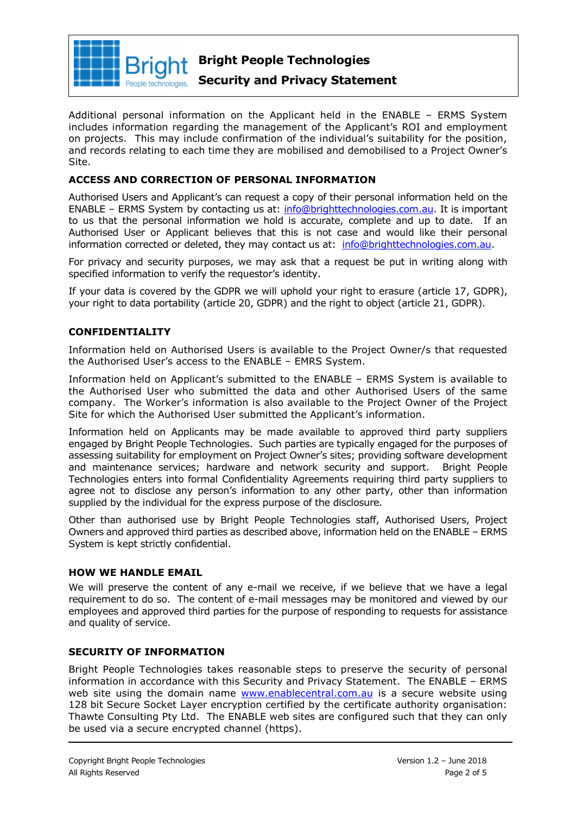

### **Security and Privacy Statement**

Additional personal information on the Applicant held in the ENABLE – ERMS System includes information regarding the management of the Applicant's ROI and employment on projects. This may include confirmation of the individual's suitability for the position, and records relating to each time they are mobilised and demobilised to a Project Owner's Site.

#### **ACCESS AND CORRECTION OF PERSONAL INFORMATION**

Authorised Users and Applicant's can request a copy of their personal information held on the ENABLE – ERMS System by contacting us at: [info@brighttechnologies.com.au.](mailto:info@brighttechnologies.com.au) It is important to us that the personal information we hold is accurate, complete and up to date. If an Authorised User or Applicant believes that this is not case and would like their personal information corrected or deleted, they may contact us at: [info@brighttechnologies.com.au.](mailto:info@brighttechnologies.com.au)

For privacy and security purposes, we may ask that a request be put in writing along with specified information to verify the requestor's identity.

If your data is covered by the GDPR we will uphold your right to erasure (article 17, GDPR), your right to data portability (article 20, GDPR) and the right to object (article 21, GDPR).

#### **CONFIDENTIALITY**

Information held on Authorised Users is available to the Project Owner/s that requested the Authorised User's access to the ENABLE – EMRS System.

Information held on Applicant's submitted to the ENABLE – ERMS System is available to the Authorised User who submitted the data and other Authorised Users of the same company. The Worker's information is also available to the Project Owner of the Project Site for which the Authorised User submitted the Applicant's information.

Information held on Applicants may be made available to approved third party suppliers engaged by Bright People Technologies. Such parties are typically engaged for the purposes of assessing suitability for employment on Project Owner's sites; providing software development and maintenance services; hardware and network security and support. Bright People Technologies enters into formal Confidentiality Agreements requiring third party suppliers to agree not to disclose any person's information to any other party, other than information supplied by the individual for the express purpose of the disclosure.

Other than authorised use by Bright People Technologies staff, Authorised Users, Project Owners and approved third parties as described above, information held on the ENABLE – ERMS System is kept strictly confidential.

#### **HOW WE HANDLE EMAIL**

We will preserve the content of any e-mail we receive, if we believe that we have a legal requirement to do so. The content of e-mail messages may be monitored and viewed by our employees and approved third parties for the purpose of responding to requests for assistance and quality of service.

#### **SECURITY OF INFORMATION**

Bright People Technologies takes reasonable steps to preserve the security of personal information in accordance with this Security and Privacy Statement. The ENABLE – ERMS web site using the domain name [www.enablecentral.com.au](http://www.enablecentral.com/) is a secure website using 128 bit Secure Socket Layer encryption certified by the certificate authority organisation: Thawte Consulting Pty Ltd. The ENABLE web sites are configured such that they can only be used via a secure encrypted channel (https).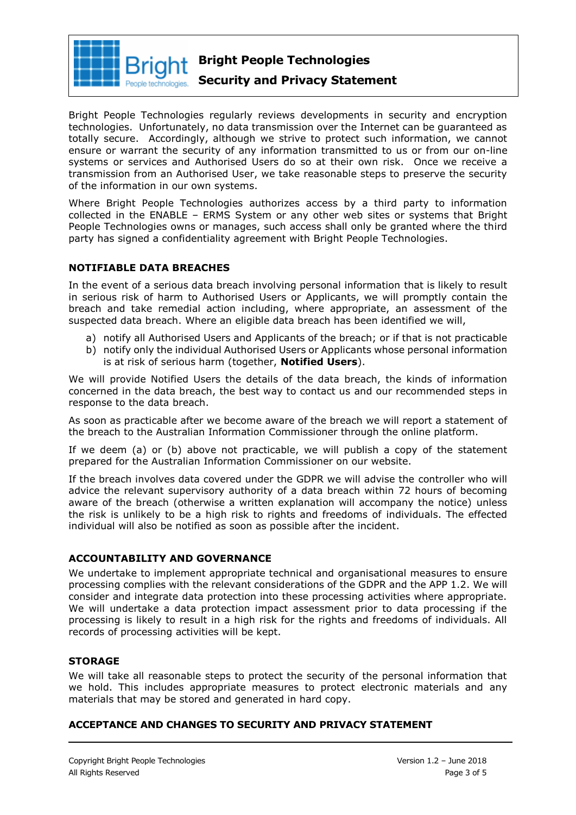

#### **Security and Privacy Statement**

Bright People Technologies regularly reviews developments in security and encryption technologies. Unfortunately, no data transmission over the Internet can be guaranteed as totally secure. Accordingly, although we strive to protect such information, we cannot ensure or warrant the security of any information transmitted to us or from our on-line systems or services and Authorised Users do so at their own risk. Once we receive a transmission from an Authorised User, we take reasonable steps to preserve the security of the information in our own systems.

Where Bright People Technologies authorizes access by a third party to information collected in the ENABLE – ERMS System or any other web sites or systems that Bright People Technologies owns or manages, such access shall only be granted where the third party has signed a confidentiality agreement with Bright People Technologies.

#### **NOTIFIABLE DATA BREACHES**

In the event of a serious data breach involving personal information that is likely to result in serious risk of harm to Authorised Users or Applicants, we will promptly contain the breach and take remedial action including, where appropriate, an assessment of the suspected data breach. Where an eligible data breach has been identified we will,

- a) notify all Authorised Users and Applicants of the breach; or if that is not practicable
- b) notify only the individual Authorised Users or Applicants whose personal information is at risk of serious harm (together, **Notified Users**).

We will provide Notified Users the details of the data breach, the kinds of information concerned in the data breach, the best way to contact us and our recommended steps in response to the data breach.

As soon as practicable after we become aware of the breach we will report a statement of the breach to the Australian Information Commissioner through the online platform.

If we deem (a) or (b) above not practicable, we will publish a copy of the statement prepared for the Australian Information Commissioner on our website.

If the breach involves data covered under the GDPR we will advise the controller who will advice the relevant supervisory authority of a data breach within 72 hours of becoming aware of the breach (otherwise a written explanation will accompany the notice) unless the risk is unlikely to be a high risk to rights and freedoms of individuals. The effected individual will also be notified as soon as possible after the incident.

#### **ACCOUNTABILITY AND GOVERNANCE**

We undertake to implement appropriate technical and organisational measures to ensure processing complies with the relevant considerations of the GDPR and the APP 1.2. We will consider and integrate data protection into these processing activities where appropriate. We will undertake a data protection impact assessment prior to data processing if the processing is likely to result in a high risk for the rights and freedoms of individuals. All records of processing activities will be kept.

#### **STORAGE**

We will take all reasonable steps to protect the security of the personal information that we hold. This includes appropriate measures to protect electronic materials and any materials that may be stored and generated in hard copy.

#### **ACCEPTANCE AND CHANGES TO SECURITY AND PRIVACY STATEMENT**